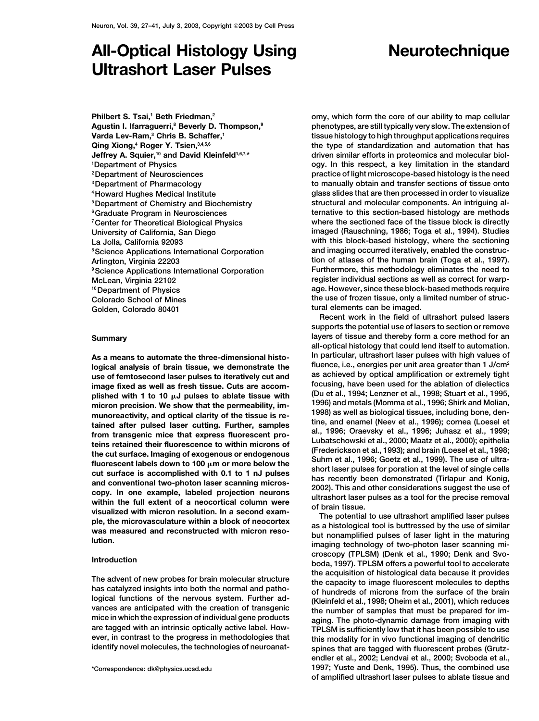# **All-Optical Histology Using Neurotechnique Ultrashort Laser Pulses**

**Philbert S. Tsai,<sup>1</sup> Beth Friedman,<sup>2</sup> Agustin I. Ifarraguerri,8 Beverly D. Thompson,9 Varda Lev-Ram,3 Chris B. Schaffer,1** <sup>1</sup>Department of Physics **Golden, Colorado 80401 tural elements can be imaged.**

**logical analysis of brain tissue, we demonstrate the** image fixed as well as fresh tissue. Cuts are accom-<br>plished with 1 to 10  $\mu$ J pulses to ablate tissue with (Du et al., 1994; Lenzner et al., 1998; Stuart et al., 1995,<br>micron procision. We show that the permeability im**micron precision. We show that the permeability, im- 1996) and metals (Momma et al., 1996; Shirk and Molian,** tained after pulsed laser cutting. Further, samples<br>
tine, and enamel (Neev et al., 1996); cornea (Loesel et<br>
from transgenic mice that express fluorescent pro-<br>
tehns retained their fluorescence to within microns of<br>
the

**omy, which form the core of our ability to map cellular phenotypes, are still typically very slow. The extension of tissue histology to high throughput applications requires Qing Xiong,<sup>4</sup> Roger Y. Tsien, 3,4,5,6 All in the type of standardization and automation that has 4 Roger Y.** Tsien, 3,4,56 **Jeffrey A. Squier,<sup>10</sup> and David Kleinfeld<sup>1,6,7,\*</sup> <b>100 and 200 and 100** driven similar efforts in proteomics and molecular biol-**Department of Physics ogy. In this respect, a key limitation in the standard 2Department of Neurosciences practice of light microscope-based histology is the need 3Department of Pharmacology to manually obtain and transfer sections of tissue onto 4Howard Hughes Medical Institute glass slides that are then processed in order to visualize structural and molecular components. An intriguing al- 5Department of Chemistry and Biochemistry 6Graduate Program in Neurosciences ternative to this section-based histology are methods 7Center for Theoretical Biological Physics where the sectioned face of the tissue block is directly University of California, San Diego imaged (Rauschning, 1986; Toga et al., 1994). Studies La Jolla, California 92093 with this block-based histology, where the sectioning 8Science Applications International Corporation and imaging occurred iteratively, enabled the construc-Arlington, Virginia 22203 tion of atlases of the human brain (Toga et al., 1997). 9Science Applications International Corporation Furthermore, this methodology eliminates the need to McLean, Virginia 22102 register individual sections as well as correct for warp-10Department of Physics age. However, since these block-based methods require Colorado School of Mines the use of frozen tissue, only a limited number of struc-**

**Recent work in the field of ultrashort pulsed lasers supports the potential use of lasers to section or remove Summary layers of tissue and thereby form a core method for an all-optical histology that could lend itself to automation. As a means to automate the three-dimensional histo- In particular, ultrashort laser pulses with high values of fluence, i.e., energies per unit area greater than 1 J/cm2 as achieved by optical amplification or extremely tight use of femtosecond laser pulses to iteratively cut and munoreactivity, and optical clarity of the tissue is re- 1998) as well as biological tissues, including bone, den-**

**croscopy (TPLSM) (Denk et al., 1990; Denk and Svo- Introduction boda, 1997). TPLSM offers a powerful tool to accelerate** The advent of new probes for brain molecular structure<br>has catalyzed insights into both the normal and patho-<br>logical functions of the nervous system. Further ad-<br>logical functions of the nervous system. Further ad-<br>logica logical functions of the nervous system. Further ad-<br>vances are anticipated with the creation of transgenic<br>mice in which the expression of individual gene products<br>are tagged with an intrinsic optically active label. How**ever, in contrast to the progress in methodologies that this modality for in vivo functional imaging of dendritic** spines that are tagged with fluorescent probes (Grutz**endler et al., 2002; Lendvai et al., 2000; Svoboda et al., \*Correspondence: dk@physics.ucsd.edu 1997; Yuste and Denk, 1995). Thus, the combined use of amplified ultrashort laser pulses to ablate tissue and**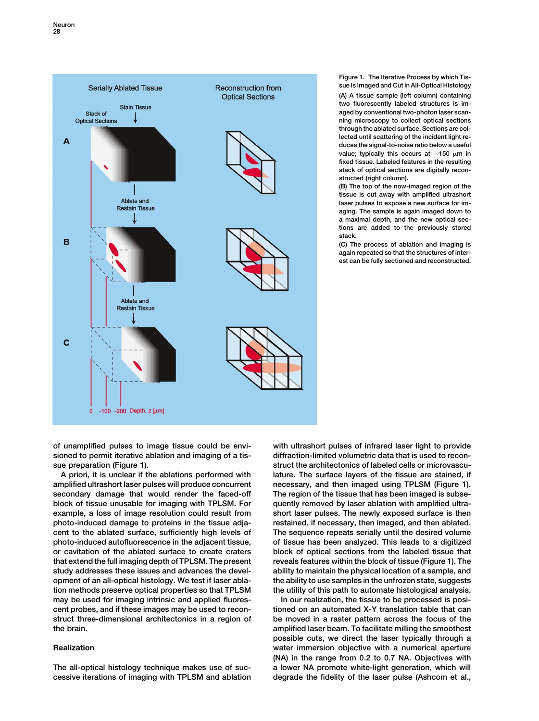

**Figure 1. The Iterative Process by which Tissue Is Imaged and Cut in All-Optical Histology (A) A tissue sample (left column) containing two fluorescently labeled structures is imaged by conventional two-photon laser scanning microscopy to collect optical sections through the ablated surface. Sections are collected until scattering of the incident light reduces the signal-to-noise ratio below a useful value; typically this occurs at 150 m in fixed tissue. Labeled features in the resulting stack of optical sections are digitally reconstructed (right column).**

**(B) The top of the now-imaged region of the tissue is cut away with amplified ultrashort laser pulses to expose a new surface for imaging. The sample is again imaged down to a maximal depth, and the new optical sections are added to the previously stored stack.**

**(C) The process of ablation and imaging is again repeated so that the structures of interest can be fully sectioned and reconstructed.**

**of unamplified pulses to image tissue could be envi- with ultrashort pulses of infrared laser light to provide sioned to permit iterative ablation and imaging of a tis- diffraction-limited volumetric data that is used to recon-**

**amplified ultrashort laser pulses will produce concurrent necessary, and then imaged using TPLSM (Figure 1). secondary damage that would render the faced-off The region of the tissue that has been imaged is subseblock of tissue unusable for imaging with TPLSM. For quently removed by laser ablation with amplified ultraexample, a loss of image resolution could result from short laser pulses. The newly exposed surface is then photo-induced damage to proteins in the tissue adja- restained, if necessary, then imaged, and then ablated. cent to the ablated surface, sufficiently high levels of The sequence repeats serially until the desired volume photo-induced autofluorescence in the adjacent tissue, of tissue has been analyzed. This leads to a digitized or cavitation of the ablated surface to create craters block of optical sections from the labeled tissue that that extend the full imaging depth of TPLSM. The present reveals features within the block of tissue (Figure 1). The study addresses these issues and advances the devel- ability to maintain the physical location of a sample, and opment of an all-optical histology. We test if laser abla- the ability to use samples in the unfrozen state, suggests tion methods preserve optical properties so that TPLSM the utility of this path to automate histological analysis. may be used for imaging intrinsic and applied fluores- In our realization, the tissue to be processed is posicent probes, and if these images may be used to recon- tioned on an automated X-Y translation table that can struct three-dimensional architectonics in a region of be moved in a raster pattern across the focus of the the brain. amplified laser beam. To facilitate milling the smoothest**

sue preparation (Figure 1). **Support the architectonics of labeled cells or microvascu-A priori, it is unclear if the ablations performed with lature. The surface layers of the tissue are stained, if**

**possible cuts, we direct the laser typically through a Realization water immersion objective with a numerical aperture (NA) in the range from 0.2 to 0.7 NA. Objectives with The all-optical histology technique makes use of suc- a lower NA promote white-light generation, which will cessive iterations of imaging with TPLSM and ablation degrade the fidelity of the laser pulse (Ashcom et al.,**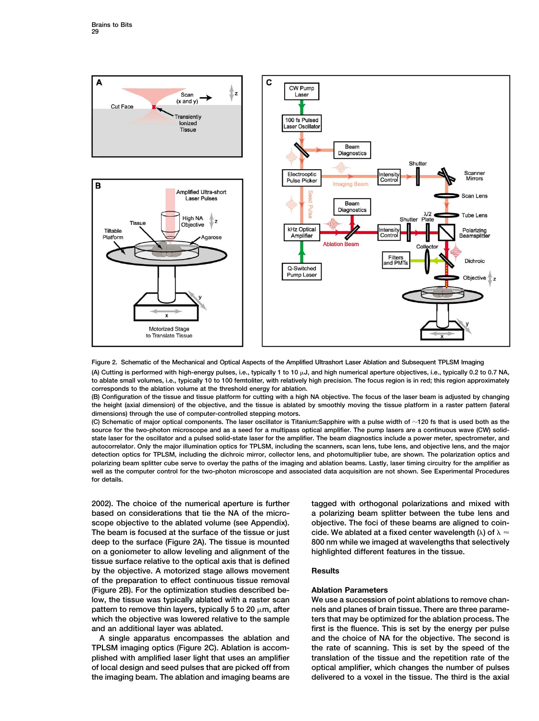

**Figure 2. Schematic of the Mechanical and Optical Aspects of the Amplified Ultrashort Laser Ablation and Subsequent TPLSM Imaging**

**(A) Cutting is performed with high-energy pulses, i.e., typically 1 to 10 J, and high numerical aperture objectives, i.e., typically 0.2 to 0.7 NA, to ablate small volumes, i.e., typically 10 to 100 femtoliter, with relatively high precision. The focus region is in red; this region approximately corresponds to the ablation volume at the threshold energy for ablation.**

**(B) Configuration of the tissue and tissue platform for cutting with a high NA objective. The focus of the laser beam is adjusted by changing the height (axial dimension) of the objective, and the tissue is ablated by smoothly moving the tissue platform in a raster pattern (lateral dimensions) through the use of computer-controlled stepping motors.**

**(C) Schematic of major optical components. The laser oscillator is Titanium:Sapphire with a pulse width of 120 fs that is used both as the source for the two-photon microscope and as a seed for a multipass optical amplifier. The pump lasers are a continuous wave (CW) solidstate laser for the oscillator and a pulsed solid-state laser for the amplifier. The beam diagnostics include a power meter, spectrometer, and autocorrelator. Only the major illumination optics for TPLSM, including the scanners, scan lens, tube lens, and objective lens, and the major detection optics for TPLSM, including the dichroic mirror, collector lens, and photomultiplier tube, are shown. The polarization optics and polarizing beam splitter cube serve to overlay the paths of the imaging and ablation beams. Lastly, laser timing circuitry for the amplifier as well as the computer control for the two-photon microscope and associated data acquisition are not shown. See Experimental Procedures for details.**

**based on considerations that tie the NA of the micro- a polarizing beam splitter between the tube lens and scope objective to the ablated volume (see Appendix). objective. The foci of these beams are aligned to coin-**The beam is focused at the surface of the tissue or just **deep to the surface (Figure 2A). The tissue is mounted 800 nm while we imaged at wavelengths that selectively on a goniometer to allow leveling and alignment of the highlighted different features in the tissue. tissue surface relative to the optical axis that is defined by the objective. A motorized stage allows movement Results of the preparation to effect continuous tissue removal (Figure 2B). For the optimization studies described be- Ablation Parameters low, the tissue was typically ablated with a raster scan We use a succession of point ablations to remove chan-**

**2002). The choice of the numerical aperture is further tagged with orthogonal polarizations and mixed with** ) of  $\lambda \approx$ 

**pattern to remove thin layers, typically 5 to 20 m, after nels and planes of brain tissue. There are three paramewhich the objective was lowered relative to the sample ters that may be optimized for the ablation process. The and an additional layer was ablated. first is the fluence. This is set by the energy per pulse A single apparatus encompasses the ablation and and the choice of NA for the objective. The second is TPLSM imaging optics (Figure 2C). Ablation is accom- the rate of scanning. This is set by the speed of the plished with amplified laser light that uses an amplifier translation of the tissue and the repetition rate of the of local design and seed pulses that are picked off from optical amplifier, which changes the number of pulses the imaging beam. The ablation and imaging beams are delivered to a voxel in the tissue. The third is the axial**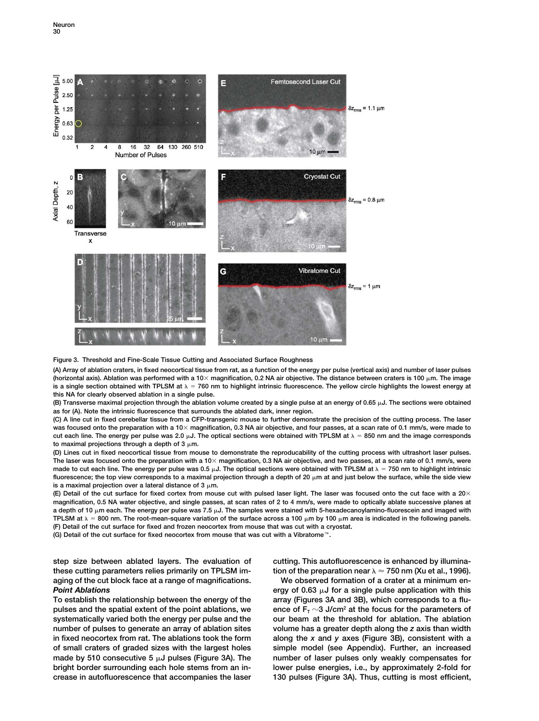

## **Figure 3. Threshold and Fine-Scale Tissue Cutting and Associated Surface Roughness**

**(A) Array of ablation craters, in fixed neocortical tissue from rat, as a function of the energy per pulse (vertical axis) and number of laser pulses (horizontal axis). Ablation was performed with a 10 magnification, 0.2 NA air objective. The distance between craters is 100 m. The image** is a single section obtained with TPLSM at  $\lambda = 760$  nm to highlight intrinsic fluorescence. The yellow circle highlights the lowest energy at **this NA for clearly observed ablation in a single pulse.**

**(B) Transverse maximal projection through the ablation volume created by a single pulse at an energy of 0.65 J. The sections were obtained as for (A). Note the intrinsic fluorescence that surrounds the ablated dark, inner region.**

**(C) A line cut in fixed cerebellar tissue from a CFP-transgenic mouse to further demonstrate the precision of the cutting process. The laser was focused onto the preparation with a 10 magnification, 0.3 NA air objective, and four passes, at a scan rate of 0.1 mm/s, were made to** cut each line. The energy per pulse was 2.0 µJ. The optical sections were obtained with TPLSM at  $\lambda = 850$  nm and the image corresponds to maximal projections through a depth of  $3 \mu m$ .

**(D) Lines cut in fixed neocortical tissue from mouse to demonstrate the reproducability of the cutting process with ultrashort laser pulses. The laser was focused onto the preparation with a 10 magnification, 0.3 NA air objective, and two passes, at a scan rate of 0.1 mm/s, were** made to cut each line. The energy per pulse was 0.5 μJ. The optical sections were obtained with TPLSM at λ = 750 nm to highlight intrinsic **fluorescence; the top view corresponds to a maximal projection through a depth of 20 m at and just below the surface, while the side view** is a maximal projection over a lateral distance of  $3 \mu m$ .

**(E) Detail of the cut surface for fixed cortex from mouse cut with pulsed laser light. The laser was focused onto the cut face with a 20 magnification, 0.5 NA water objective, and single passes, at scan rates of 2 to 4 mm/s, were made to optically ablate successive planes at a depth of 10 m each. The energy per pulse was 7.5 J. The samples were stained with 5-hexadecanoylamino-fluorescein and imaged with** TPLSM at  $\lambda$  = 800 nm. The root-mean-square variation of the surface across a 100 µm by 100 µm area is indicated in the following panels. **(F) Detail of the cut surface for fixed and frozen neocortex from mouse that was cut with a cryostat.**

**(G) Detail of the cut surface for fixed neocortex from mouse that was cut with a Vibratome.**

**these cutting parameters relies primarily on TPLSM imaging of the cut block face at a range of magnifications. We observed formation of a crater at a minimum en-Point Ablations ergy of 0.63**  $\mu$ J for a single pulse application with this

pulses and the spatial extent of the point ablations, we are of  $F_T \sim 3$  J/cm<sup>2</sup> at the focus for the parameters of **systematically varied both the energy per pulse and the our beam at the threshold for ablation. The ablation number of pulses to generate an array of ablation sites volume has a greater depth along the** *z* **axis than width in fixed neocortex from rat. The ablations took the form along the** *x* **and** *y* **axes (Figure 3B), consistent with a of small craters of graded sizes with the largest holes simple model (see Appendix). Further, an increased made by 510 consecutive 5 J pulses (Figure 3A). The number of laser pulses only weakly compensates for bright border surrounding each hole stems from an in- lower pulse energies, i.e., by approximately 2-fold for crease in autofluorescence that accompanies the laser 130 pulses (Figure 3A). Thus, cutting is most efficient,**

step size between ablated layers. The evaluation of cutting. This autofluorescence is enhanced by illumination of the preparation near  $\lambda \approx 750$  nm (Xu et al., 1996).

**To establish the relationship between the energy of the array (Figures 3A and 3B), which corresponds to a flu-**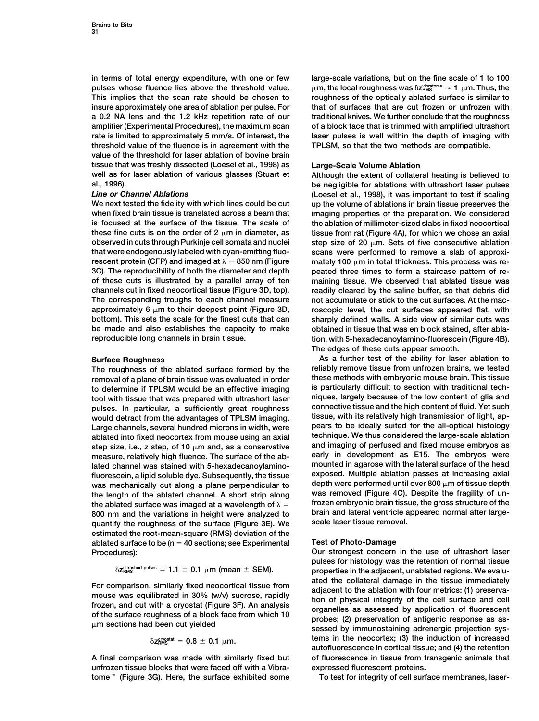pulses whose fluence lies above the threshold value.  $\mu m$ , the local roughness was  $\delta z_{NMS}^{\text{subsame}} \approx 1 \mu m$ . Thus, the **This implies that the scan rate should be chosen to roughness of the optically ablated surface is similar to insure approximately one area of ablation per pulse. For that of surfaces that are cut frozen or unfrozen with a 0.2 NA lens and the 1.2 kHz repetition rate of our traditional knives. We further conclude that the roughness amplifier (Experimental Procedures), the maximum scan of a block face that is trimmed with amplified ultrashort** rate is limited to approximately 5 mm/s. Of interest, the laser pulses is well within the depth of imaging with **threshold value of the fluence is in agreement with the TPLSM, so that the two methods are compatible. value of the threshold for laser ablation of bovine brain tissue that was freshly dissected (Loesel et al., 1998) as Large-Scale Volume Ablation well as for laser ablation of various glasses (Stuart et Although the extent of collateral heating is believed to al., 1996). be negligible for ablations with ultrashort laser pulses**

**when fixed brain tissue is translated across a beam that imaging properties of the preparation. We considered is focused at the surface of the tissue. The scale of the ablation of millimeter-sized slabs in fixed neocortical** these fine cuts is on the order of 2  $\mu$ m in diameter, as tissue from rat (Figure 4A), for which we chose an axial **observed in cuts through Purkinje cell somata and nuclei step size of 20 m. Sets of five consecutive ablation that were endogenously labeled with cyan-emitting fluo- scans were performed to remove a slab of approxi**rescent protein (CFP) and imaged at  $\lambda = 850$  nm (Figure **3C). The reproducibility of both the diameter and depth peated three times to form a staircase pattern of reof these cuts is illustrated by a parallel array of ten maining tissue. We observed that ablated tissue was channels cut in fixed neocortical tissue (Figure 3D, top). readily cleared by the saline buffer, so that debris did The corresponding troughs to each channel measure not accumulate or stick to the cut surfaces. At the macapproximately 6 m to their deepest point (Figure 3D, roscopic level, the cut surfaces appeared flat, with bottom). This sets the scale for the finest cuts that can sharply defined walls. A side view of similar cuts was be made and also establishes the capacity to make obtained in tissue that was en block stained, after ablareproducible long channels in brain tissue. tion, with 5-hexadecanoylamino-fluorescein (Figure 4B).**

**The roughness of the ablated surface formed by the reliably remove tissue from unfrozen brains, we tested removal of a plane of brain tissue was evaluated in order these methods with embryonic mouse brain. This tissue is particularly difficult to section with traditional tech- to determine if TPLSM would be an effective imaging tool with tissue that was prepared with ultrashort laser niques, largely because of the low content of glia and** pulses. In particular, a sufficiently great roughness **would detract from the advantages of TPLSM imaging. tissue, with its relatively high transmission of light, ap-Large channels, several hundred microns in width, were pears to be ideally suited for the all-optical histology ablated into fixed neocortex from mouse using an axial technique. We thus considered the large-scale ablation step size, i.e., z step, of 10 m and, as a conservative and imaging of perfused and fixed mouse embryos as measure, relatively high fluence. The surface of the ab- early in development as E15. The embryos were lated channel was stained with 5-hexadecanoylamino- mounted in agarose with the lateral surface of the head** fluorescein, a lipid soluble dye. Subsequently, the tissue exposed. Multiple ablation passes at increasing axial<br>was mechanically cut along a plane perpendicular to depth were performed until over 800 µm of tissue depth was mechanically cut along a plane perpendicular to depth were performed until over 800  $\mu$ m of tissue depth the iragility of un-<br>the length of the ablated channel. A short strip along was removed (Figure 4C). Despite the the length of the ablated channel. A short strip along the ablated surface was imaged at a wavelength of  $\lambda =$ **800 nm and the variations in height were analyzed to brain and lateral ventricle appeared normal after largequantify the roughness of the surface (Figure 3E). We estimated the root-mean-square (RMS) deviation of the ablated surface to be (n 40 sections; see Experimental Test of Photo-Damage**

$$
\delta z_{\text{RMS}}^{\text{ultrashort pulses}} = 1.1 \pm 0.1 \ \mu \text{m (mean } \pm \text{ SEM)}
$$

$$
\delta z_{\text{RMS}}^{\text{crVostat}} = 0.8 \pm 0.1 \ \mu \text{m}.
$$

**A final comparison was made with similarly fixed but of fluorescence in tissue from transgenic animals that unfrozen tissue blocks that were faced off with a Vibra- expressed fluorescent proteins.** tome<sup>TM</sup> (Figure 3G). Here, the surface exhibited some

**in terms of total energy expenditure, with one or few large-scale variations, but on the fine scale of 1 to 100**

*Line or Channel Ablations* **(Loesel et al., 1998), it was important to test if scaling We next tested the fidelity with which lines could be cut up the volume of ablations in brain tissue preserves the mately 100**  $\mu$ m in total thickness. This process was re-**The edges of these cuts appear smooth.**

**Surface Roughness**<br>The roughness of the ablation surface formed by the **Algebra Communtum** reliably remove tissue from unfrozen brains, we tested **frozen embryonic brain tissue, the gross structure of the**

**Procedures): Our strongest concern in the use of ultrashort laser pulses for histology was the retention of normal tissue RMS 1.1 0.1 m (mean SEM). properties in the adjacent, unablated regions. We evalu-**For comparison, similarly fixed neocortical tissue from<br>
mouse was equilibrated in 30% (w/v) sucrose, rapidly<br>
frozen, and cut with a cryostat (Figure 3F). An analysis<br>
of the surface roughness of a block face from which 1 **m sections had been cut yielded sessed by immunostaining adrenergic projection sys**tems in the neocortex; (3) the induction of increased **RMS 0.8 0.1 m. autofluorescence in cortical tissue; and (4) the retention**

**(Figure 3G). Here, the surface exhibited some To test for integrity of cell surface membranes, laser-**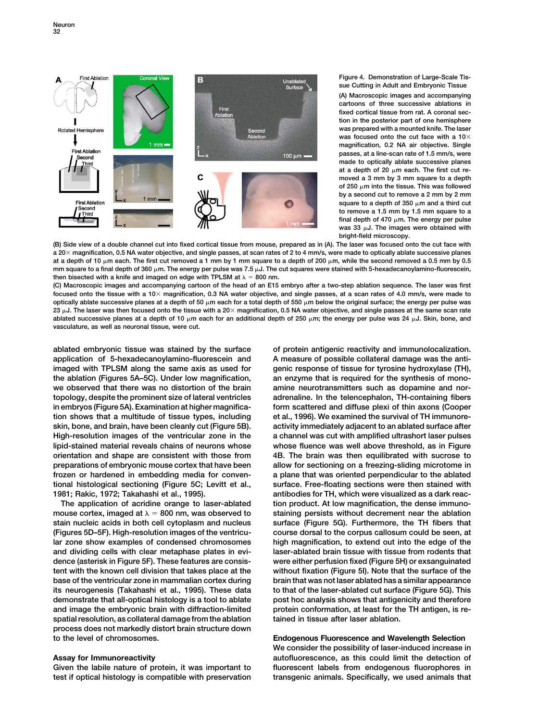

**Figure 4. Demonstration of Large-Scale Tissue Cutting in Adult and Embryonic Tissue (A) Macroscopic images and accompanying cartoons of three successive ablations in fixed cortical tissue from rat. A coronal section in the posterior part of one hemisphere was prepared with a mounted knife. The laser was focused onto the cut face with a 10 magnification, 0.2 NA air objective. Single passes, at a line-scan rate of 1.5 mm/s, were made to optically ablate successive planes** at a depth of 20  $\mu$ m each. The first cut re**moved a 3 mm by 3 mm square to a depth of 250 m into the tissue. This was followed by a second cut to remove a 2 mm by 2 mm square to a depth of 350 m and a third cut to remove a 1.5 mm by 1.5 mm square to a final depth of 470 m. The energy per pulse** was 33  $\mu$ J. The images were obtained with **bright-field microscopy.**

**(B) Side view of a double channel cut into fixed cortical tissue from mouse, prepared as in (A). The laser was focused onto the cut face with a 20 magnification, 0.5 NA water objective, and single passes, at scan rates of 2 to 4 mm/s, were made to optically ablate successive planes at a depth of 10 m each. The first cut removed a 1 mm by 1 mm square to a depth of 200 m, while the second removed a 0.5 mm by 0.5 mm square to a final depth of 360 m. The energy per pulse was 7.5 J. The cut squares were stained with 5-hexadecanoylamino-fluorescein,** then bisected with a knife and imaged on edge with TPLSM at  $\lambda = 800$  nm.

**(C) Macroscopic images and accompanying cartoon of the head of an E15 embryo after a two-step ablation sequence. The laser was first focused onto the tissue with a 10 magnification, 0.3 NA water objective, and single passes, at a scan rates of 4.0 mm/s, were made to optically ablate successive planes at a depth of 50 m each for a total depth of 550 m below the original surface; the energy per pulse was 23 J. The laser was then focused onto the tissue with a 20 magnification, 0.5 NA water objective, and single passes at the same scan rate ablated successive planes at a depth of 10 m each for an additional depth of 250 m; the energy per pulse was 24 J. Skin, bone, and vasculature, as well as neuronal tissue, were cut.**

**ablated embryonic tissue was stained by the surface of protein antigenic reactivity and immunolocalization. application of 5-hexadecanoylamino-fluorescein and A measure of possible collateral damage was the antiimaged with TPLSM along the same axis as used for genic response of tissue for tyrosine hydroxylase (TH), the ablation (Figures 5A–5C). Under low magnification, an enzyme that is required for the synthesis of mono**we observed that there was no distortion of the brain amine neurotransmitters such as dopamine and nor**topology, despite the prominent size of lateral ventricles adrenaline. In the telencephalon, TH-containing fibers in embryos (Figure 5A). Examination at higher magnifica- form scattered and diffuse plexi of thin axons (Cooper tion shows that a multitude of tissue types, including et al., 1996). We examined the survival of TH immunoreskin, bone, and brain, have been cleanly cut (Figure 5B). activity immediately adjacent to an ablated surface after High-resolution images of the ventricular zone in the a channel was cut with amplified ultrashort laser pulses lipid-stained material reveals chains of neurons whose whose fluence was well above threshold, as in Figure orientation and shape are consistent with those from 4B. The brain was then equilibrated with sucrose to preparations of embryonic mouse cortex that have been allow for sectioning on a freezing-sliding microtome in frozen or hardened in embedding media for conven- a plane that was oriented perpendicular to the ablated tional histological sectioning (Figure 5C; Levitt et al., surface. Free-floating sections were then stained with**

mouse cortex, imaged at  $\lambda = 800$  nm, was observed to **lar zone show examples of condensed chromosomes high magnification, to extend out into the edge of the dence (asterisk in Figure 5F). These features are consis- were either perfusion fixed (Figure 5H) or exsanguinated tent with the known cell division that takes place at the without fixation (Figure 5I). Note that the surface of the base of the ventricular zone in mammalian cortex during brain that was not laser ablated has a similar appearance its neurogenesis (Takahashi et al., 1995). These data to that of the laser-ablated cut surface (Figure 5G). This demonstrate that all-optical histology is a tool to ablate post hoc analysis shows that antigenicity and therefore and image the embryonic brain with diffraction-limited protein conformation, at least for the TH antigen, is respatial resolution, as collateral damage from the ablation tained in tissue after laser ablation. process does not markedly distort brain structure down to the level of chromosomes. Endogenous Fluorescence and Wavelength Selection**

Given the labile nature of protein, it was important to fluorescent labels from endogenous fluorophores in **test if optical histology is compatible with preservation transgenic animals. Specifically, we used animals that**

**1981; Rakic, 1972; Takahashi et al., 1995). antibodies for TH, which were visualized as a dark reac-The application of acridine orange to laser-ablated tion product. At low magnification, the dense immuno- 800 nm, was observed to staining persists without decrement near the ablation stain nucleic acids in both cell cytoplasm and nucleus surface (Figure 5G). Furthermore, the TH fibers that (Figures 5D–5F). High-resolution images of the ventricu- course dorsal to the corpus callosum could be seen, at and dividing cells with clear metaphase plates in evi- laser-ablated brain tissue with tissue from rodents that**

**We consider the possibility of laser-induced increase in Assay for Immunoreactivity autofluorescence, as this could limit the detection of**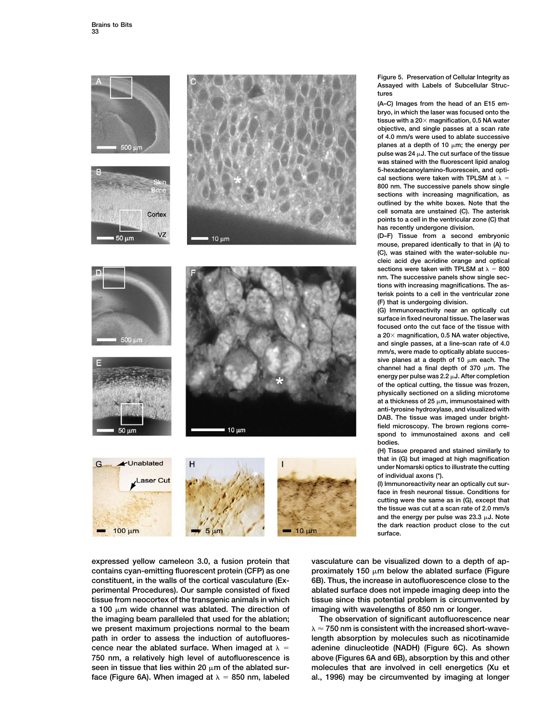

**Figure 5. Preservation of Cellular Integrity as Assayed with Labels of Subcellular Structures**

**(A–C) Images from the head of an E15 embryo, in which the laser was focused onto the tissue with a 20 magnification, 0.5 NA water objective, and single passes at a scan rate of 4.0 mm/s were used to ablate successive planes at a depth of 10 m; the energy per pulse was 24 J. The cut surface of the tissue was stained with the fluorescent lipid analog 5-hexadecanoylamino-fluorescein, and opti**cal sections were taken with TPLSM at  $\lambda =$ **800 nm. The successive panels show single sections with increasing magnification, as outlined by the white boxes. Note that the cell somata are unstained (C). The asterisk points to a cell in the ventricular zone (C) that has recently undergone division.**

**(D–F) Tissue from a second embryonic mouse, prepared identically to that in (A) to (C), was stained with the water-soluble nucleic acid dye acridine orange and optical** sections were taken with TPLSM at  $\lambda = 800$ **nm. The successive panels show single sections with increasing magnifications. The asterisk points to a cell in the ventricular zone (F) that is undergoing division.**

**(G) Immunoreactivity near an optically cut surface in fixed neuronal tissue. The laser was focused onto the cut face of the tissue with a 20 magnification, 0.5 NA water objective, and single passes, at a line-scan rate of 4.0 mm/s, were made to optically ablate successive planes at a depth of 10 m each. The** channel had a final depth of  $370 \mu m$ . The **energy per pulse was 2.2 J. After completion of the optical cutting, the tissue was frozen, physically sectioned on a sliding microtome** at a thickness of 25  $\mu$ m, immunostained with **anti-tyrosine hydroxylase, and visualized with DAB. The tissue was imaged under brightfield microscopy. The brown regions correspond to immunostained axons and cell bodies.**

**(H) Tissue prepared and stained similarly to that in (G) but imaged at high magnification under Nomarski optics to illustrate the cutting of individual axons (\*).**

**(I) Immunoreactivity near an optically cut surface in fresh neuronal tissue. Conditions for cutting were the same as in (G), except that the tissue was cut at a scan rate of 2.0 mm/s and the energy per pulse was 23.3 J. Note the dark reaction product close to the cut surface.**

**expressed yellow cameleon 3.0, a fusion protein that vasculature can be visualized down to a depth of apcontains cyan-emitting fluorescent protein (CFP) as one proximately 150 m below the ablated surface (Figure constituent, in the walls of the cortical vasculature (Ex- 6B). Thus, the increase in autofluorescence close to the perimental Procedures). Our sample consisted of fixed ablated surface does not impede imaging deep into the tissue from neocortex of the transgenic animals in which tissue since this potential problem is circumvented by a 100 m wide channel was ablated. The direction of imaging with wavelengths of 850 nm or longer. the imaging beam paralleled that used for the ablation; The observation of significant autofluorescence near** we present maximum projections normal to the beam **path in order to assess the induction of autofluores- length absorption by molecules such as nicotinamide** cence near the ablated surface. When imaged at  $\lambda =$ **750 nm, a relatively high level of autofluorescence is above (Figures 6A and 6B), absorption by this and other seen in tissue that lies within 20 m of the ablated sur- molecules that are involved in cell energetics (Xu et** face (Figure 6A). When imaged at  $\lambda = 850$  nm, labeled

 **750 nm is consistent with the increased short-wave- adenine dinucleotide (NADH) (Figure 6C). As shown** al., 1996) may be circumvented by imaging at longer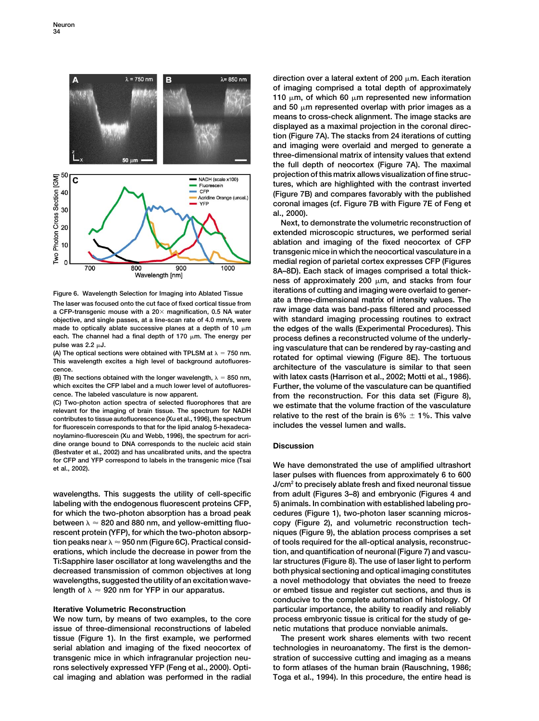



a CFP-transgenic mouse with a 20 $\times$  magnification, 0.5 NA water

This wavelength excites a high level of background autofluores-

**(B)** The sections obtained with the longer wavelength,  $\lambda = 850$  nm,

for fluorescein corresponds to that for the lipid analog 5-hexadeca**noylamino-fluorescein (Xu and Webb, 1996), the spectrum for acri**dine orange bound to DNA corresponds to the nucleic acid stain **Discussion (Bestvater et al., 2002) and has uncalibrated units, and the spectra for CFP and YFP correspond to labels in the transgenic mice (Tsai We have demonstrated the use of amplified ultrashort et al., 2002).**

labeling with the endogenous fluorescent proteins CFP, 5) animals. In combination with established labeling pro**for which the two-photon absorption has a broad peak cedures (Figure 1), two-photon laser scanning micros**between  $\lambda \approx 820$  and 880 nm, and yellow-emitting fluo**rescent protein (YFP), for which the two-photon absorp- niques (Figure 9), the ablation process comprises a set** tion peaks near  $\lambda \approx 950$  nm (Figure 6C). Practical consid**erations, which include the decrease in power from the tion, and quantification of neuronal (Figure 7) and vascu-Ti:Sapphire laser oscillator at long wavelengths and the lar structures (Figure 8). The use of laser light to perform decreased transmission of common objectives at long both physical sectioning and optical imaging constitutes wavelengths, suggested the utility of an excitation wave- a novel methodology that obviates the need to freeze** length of  $\lambda \approx 920$  nm for YFP in our apparatus.

**issue of three-dimensional reconstructions of labeled netic mutations that produce nonviable animals. tissue (Figure 1). In the first example, we performed The present work shares elements with two recent serial ablation and imaging of the fixed neocortex of technologies in neuroanatomy. The first is the demontransgenic mice in which infragranular projection neu- stration of successive cutting and imaging as a means rons selectively expressed YFP (Feng et al., 2000). Opti- to form atlases of the human brain (Rauschning, 1986; cal imaging and ablation was performed in the radial Toga et al., 1994). In this procedure, the entire head is**

**direction over a lateral extent of 200 m. Each iteration of imaging comprised a total depth of approximately 110**  $\mu$ m, of which 60  $\mu$ m represented new information and 50  $\mu$ m represented overlap with prior images as a **means to cross-check alignment. The image stacks are displayed as a maximal projection in the coronal direction (Figure 7A). The stacks from 24 iterations of cutting and imaging were overlaid and merged to generate a three-dimensional matrix of intensity values that extend the full depth of neocortex (Figure 7A). The maximal projection of this matrix allows visualization of fine structures, which are highlighted with the contrast inverted (Figure 7B) and compares favorably with the published coronal images (cf. Figure 7B with Figure 7E of Feng et al., 2000).**

**Next, to demonstrate the volumetric reconstruction of extended microscopic structures, we performed serial ablation and imaging of the fixed neocortex of CFP transgenic mice in which the neocortical vasculature in a medial region of parietal cortex expresses CFP (Figures 8A–8D). Each stack of images comprised a total thick**ness of approximately 200  $\mu$ m, and stacks from four **iterations of cutting and imaging were overlaid to gener- Figure 6. Wavelength Selection for Imaging into Ablated Tissue** The laser was focused onto the cut face of fixed cortical tissue from **ate a three-dimensional matrix of intensity values.** The<br>The laser was focused onto the cut face of fixed cortical tissue from **a** can be a CFP-transge **objective, and single passes, at a line-scan rate of 4.0 mm/s, were with standard imaging processing routines to extract made to optically ablate successive planes at a depth of 10 m the edges of the walls (Experimental Procedures). This** each. The channel had a final depth of 170  $\mu$ m. The energy per<br>pulse was 2.2  $\mu$ J.<br>(A) The only a set in the set of the underly-<br>ing vasculature that can be rendered by ray-casting and<br>This wavelength averities a bigh **cence. architecture of the vasculature is similar to that seen 850 nm, with latex casts (Harrison et al., 2002; Motti et al., 1986). which excites the CFP label and a much lower level of autofluores- Further, the volume of the vasculature can be quantified** cence. The labeled vasculature is now apparent.<br>
(C) Two-photon action spectra of selected fluorophores that are<br>
relevant for the imaging of brain tissue. The spectrum for NADH<br>
contributes to tissue autofluorescence (Xu

**laser pulses with fluences from approximately 6 to 600 J/cm2 to precisely ablate fresh and fixed neuronal tissue wavelengths. This suggests the utility of cell-specific from adult (Figures 3–8) and embryonic (Figures 4 and** copy (Figure 2), and volumetric reconstruction techof tools required for the all-optical analysis, reconstruc- **920 nm for YFP in our apparatus. or embed tissue and register cut sections, and thus is conducive to the complete automation of histology. Of Iterative Volumetric Reconstruction particular importance, the ability to readily and reliably** We now turn, by means of two examples, to the core process embryonic tissue is critical for the study of ge-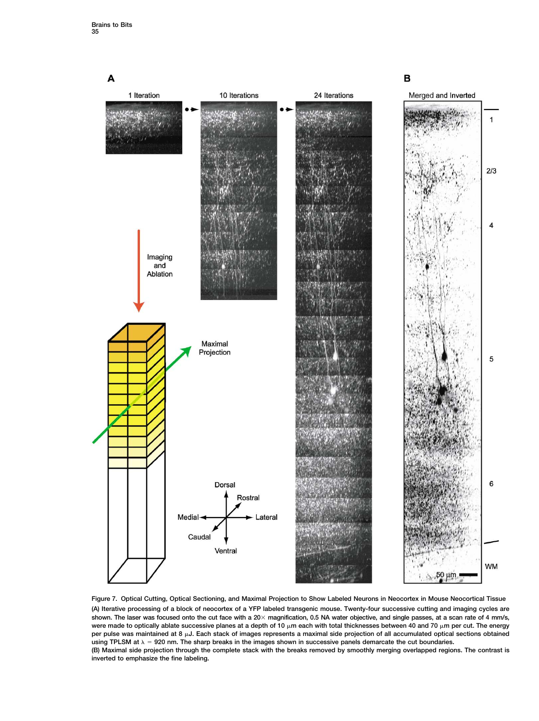

**Figure 7. Optical Cutting, Optical Sectioning, and Maximal Projection to Show Labeled Neurons in Neocortex in Mouse Neocortical Tissue (A) Iterative processing of a block of neocortex of a YFP labeled transgenic mouse. Twenty-four successive cutting and imaging cycles are shown. The laser was focused onto the cut face with a 20 magnification, 0.5 NA water objective, and single passes, at a scan rate of 4 mm/s, were made to optically ablate successive planes at a depth of 10 m each with total thicknesses between 40 and 70 m per cut. The energy per pulse was maintained at 8 J. Each stack of images represents a maximal side projection of all accumulated optical sections obtained** using TPLSM at  $\lambda$  = 920 nm. The sharp breaks in the images shown in successive panels demarcate the cut boundaries. **(B) Maximal side projection through the complete stack with the breaks removed by smoothly merging overlapped regions. The contrast is inverted to emphasize the fine labeling.**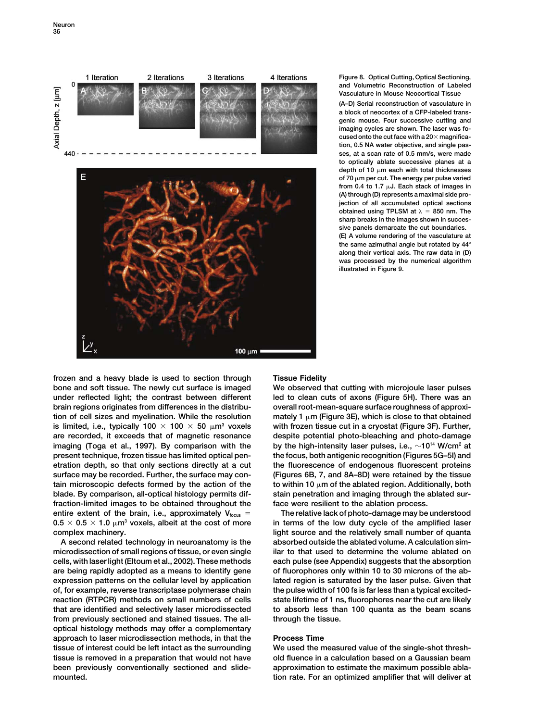

**Figure 8. Optical Cutting, Optical Sectioning, and Volumetric Reconstruction of Labeled Vasculature in Mouse Neocortical Tissue**

**(A–D) Serial reconstruction of vasculature in a block of neocortex of a CFP-labeled transgenic mouse. Four successive cutting and imaging cycles are shown. The laser was focused onto the cut face with a 20 magnification, 0.5 NA water objective, and single passes, at a scan rate of 0.5 mm/s, were made to optically ablate successive planes at a depth of 10 m each with total thicknesses of 70 m per cut. The energy per pulse varied from 0.4 to 1.7 J. Each stack of images in (A) through (D) represents a maximal side projection of all accumulated optical sections obtained using TPLSM at**  $\lambda = 850$  nm. The **sharp breaks in the images shown in successive panels demarcate the cut boundaries. (E) A volume rendering of the vasculature at the same azimuthal angle but rotated by 44 along their vertical axis. The raw data in (D) was processed by the numerical algorithm illustrated in Figure 9.**

**frozen and a heavy blade is used to section through Tissue Fidelity bone and soft tissue. The newly cut surface is imaged We observed that cutting with microjoule laser pulses under reflected light; the contrast between different led to clean cuts of axons (Figure 5H). There was an brain regions originates from differences in the distribu- overall root-mean-square surface roughness of approxition of cell sizes and myelination. While the resolution mately 1 m (Figure 3E), which is close to that obtained** is limited, i.e., typically 100  $\times$  100  $\times$  50  $\mu$ m<sup>3</sup> voxels with frozen tissue cut in a cryostat (Figure 3F). Further, **are recorded, it exceeds that of magnetic resonance despite potential photo-bleaching and photo-damage by the high-intensity laser pulses, i.e., 1014 W/cm2 imaging (Toga et al., 1997). By comparison with the at present technique, frozen tissue has limited optical pen- the focus, both antigenic recognition (Figures 5G–5I) and etration depth, so that only sections directly at a cut the fluorescence of endogenous fluorescent proteins surface may be recorded. Further, the surface may con- (Figures 6B, 7, and 8A–8D) were retained by the tissue tain microscopic defects formed by the action of the to within 10 m of the ablated region. Additionally, both blade. By comparison, all-optical histology permits dif- stain penetration and imaging through the ablated surfraction-limited images to be obtained throughout the face were resilient to the ablation process.** entire extent of the brain, i.e., approximately V<sub>focus</sub> = The relative lack of photo-damage may be understood  $0.5 \times 0.5 \times 1.0 \mu m^3$  voxels, albeit at the cost of more in terms of the low duty cycle of the amplified laser **complex machinery. complex machinery. complex machinery. light source and the relatively small number of quanta** 

**microdissection of small regions of tissue, or even single ilar to that used to determine the volume ablated on cells, with laser light (Eltoum et al., 2002). These methods each pulse (see Appendix) suggests that the absorption** are being rapidly adopted as a means to identify gene of fluorophores only within 10 to 30 microns of the ab**expression patterns on the cellular level by application lated region is saturated by the laser pulse. Given that of, for example, reverse transcriptase polymerase chain the pulse width of 100 fs is far less than a typical excitedreaction (RTPCR) methods on small numbers of cells state lifetime of 1 ns, fluorophores near the cut are likely that are identified and selectively laser microdissected to absorb less than 100 quanta as the beam scans from previously sectioned and stained tissues. The all- through the tissue. optical histology methods may offer a complementary approach to laser microdissection methods, in that the Process Time tissue of interest could be left intact as the surrounding We used the measured value of the single-shot threshtissue is removed in a preparation that would not have old fluence in a calculation based on a Gaussian beam been previously conventionally sectioned and slide- approximation to estimate the maximum possible ablamounted. tion rate. For an optimized amplifier that will deliver at**

**A second related technology in neuroanatomy is the absorbed outside the ablated volume. A calculation sim-**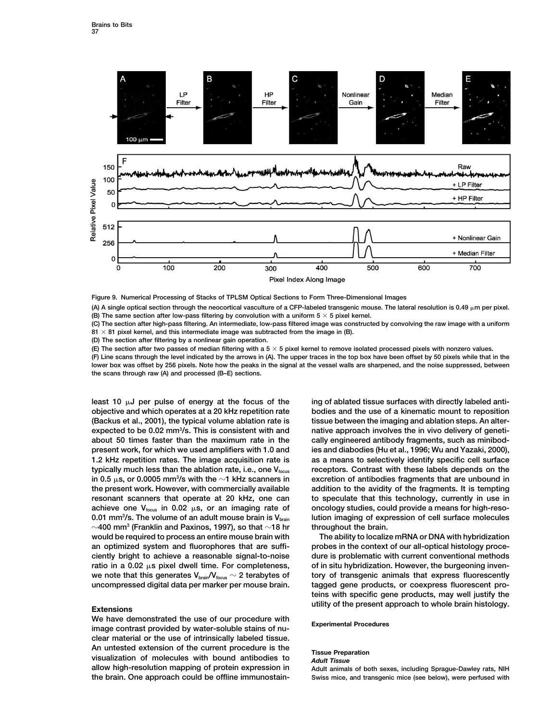

**Figure 9. Numerical Processing of Stacks of TPLSM Optical Sections to Form Three-Dimensional Images**

**(A) A single optical section through the neocortical vasculture of a CFP-labeled transgenic mouse. The lateral resolution is 0.49 m per pixel. (B)** The same section after low-pass filtering by convolution with a uniform  $5 \times 5$  pixel kernel.

**(C) The section after high-pass filtering. An intermediate, low-pass filtered image was constructed by convolving the raw image with a uniform**  $81 \times 81$  pixel kernel, and this intermediate image was subtracted from the image in (B).

**(D) The section after filtering by a nonlinear gain operation.**

**(E) The section after two passes of median filtering with a 5 5 pixel kernel to remove isolated processed pixels with nonzero values.**

**(F) Line scans through the level indicated by the arrows in (A). The upper traces in the top box have been offset by 50 pixels while that in the lower box was offset by 256 pixels. Note how the peaks in the signal at the vessel walls are sharpened, and the noise suppressed, between the scans through raw (A) and processed (B–E) sections.**

**objective and which operates at a 20 kHz repetition rate bodies and the use of a kinematic mount to reposition (Backus et al., 2001), the typical volume ablation rate is tissue between the imaging and ablation steps. An alter**expected to be 0.02 mm<sup>3</sup>/s. This is consistent with and **about 50 times faster than the maximum rate in the cally engineered antibody fragments, such as minibodpresent work, for which we used amplifiers with 1.0 and ies and diabodies (Hu et al., 1996; Wu and Yazaki, 2000), 1.2 kHz repetition rates. The image acquisition rate is as a means to selectively identify specific cell surface typically much less than the ablation rate, i.e., one Vfocus receptors. Contrast with these labels depends on the** in 0.5  $\mu$ s, or 0.0005 mm<sup>3</sup>/s with the  $\sim$ 1 kHz scanners in **the present work. However, with commercially available addition to the avidity of the fragments. It is tempting resonant scanners that operate at 20 kHz, one can to speculate that this technology, currently in use in** achieve one V<sub>focus</sub> in 0.02  $\mu$ s, or an imaging rate of oncology studies, could provide a means for high-reso-0.01 mm<sup>3</sup>/s. The volume of an adult mouse brain is V<sub>brain</sub>  $\sim$ 400 mm<sup>3</sup> (Franklin and Paxinos, 1997), so that  $\sim$ 18 hr throughout the brain. **would be required to process an entire mouse brain with The ability to localize mRNA or DNA with hybridization an optimized system and fluorophores that are suffi- probes in the context of our all-optical histology proceciently bright to achieve a reasonable signal-to-noise dure is problematic with current conventional methods** ratio in a 0.02  $\mu$ s pixel dwell time. For completeness, of in situ hybridization. However, the burgeoning invenwe note that this generates  $V_{brain}$ , $V_{focus}$   $\sim$  2 terabytes of tory of transgenic animals that express fluorescently

**We have demonstrated the use of our procedure with Experimental Procedures image contrast provided by water-soluble stains of nuclear material or the use of intrinsically labeled tissue. An untested extension of the current procedure is the Tissue Preparation visualization of molecules with bound antibodies to** *Adult Tissue*

least 10 µJ per pulse of energy at the focus of the ing of ablated tissue surfaces with directly labeled anti**expected to be 0.02 mm native approach involves the in vivo delivery of geneti- <sup>3</sup>**  $excretion$  of antibodies fragments that are unbound in lution imaging of expression of cell surface molecules

**uncompressed digital data per marker per mouse brain. tagged gene products, or coexpress fluorescent proteins with specific gene products, may well justify the utility of the present approach to whole brain histology. Extensions**

Adult animals of both sexes, including Sprague-Dawley rats, NIH **the brain. One approach could be offline immunostain- Swiss mice, and transgenic mice (see below), were perfused with**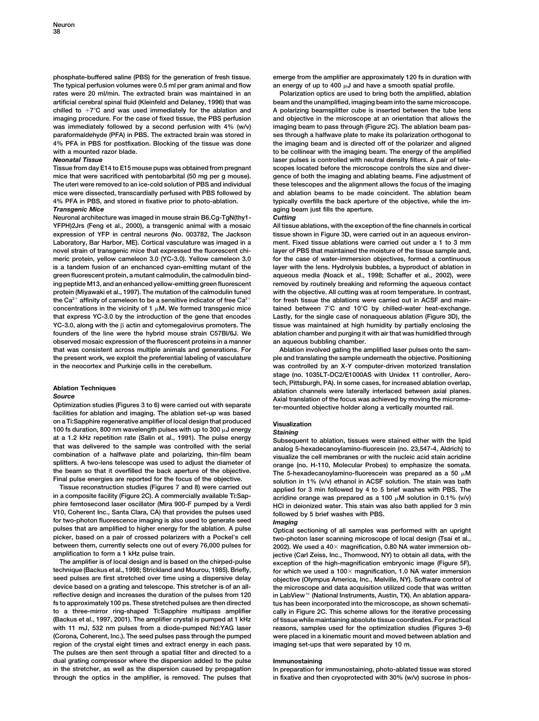The typical perfusion volumes were 0.5 ml per gram animal and flow an energy of up to 400  $\mu$ J and have a smooth spatial profile. rates were 20 ml/min. The extracted brain was maintained in an Polarization optics are used to bring both the amplified, ablation **artificial cerebral spinal fluid (Kleinfeld and Delaney, 1996) that was beam and the unamplified, imaging beam into the same microscope. chilled to 7C and was used immediately for the ablation and A polarizing beamsplitter cube is inserted between the tube lens imaging procedure. For the case of fixed tissue, the PBS perfusion and objective in the microscope at an orientation that allows the paraformaldehyde (PFA) in PBS. The extracted brain was stored in ses through a halfwave plate to make its polarization orthogonal to 4% PFA in PBS for postfixation. Blocking of the tissue was done the imaging beam and is directed off of the polarizer and aligned with a mounted razor blade. to be collinear with the imaging beam. The energy of the amplified**

**mice that were sacrificed with pentobarbital (50 mg per g mouse). gence of both the imaging and ablating beams. Fine adjustment of The uteri were removed to an ice-cold solution of PBS and individual these telescopes and the alignment allows the focus of the imaging mice were dissected, transcardially perfused with PBS followed by and ablation beams to be made coincident. The ablation beam 4% PFA in PBS, and stored in fixative prior to photo-ablation. typically overfills the back aperture of the objective, while the im-***Transgenic Mice* **aging beam just fills the aperture.**

**Neuronal architecture was imaged in mouse strain B6.Cg-TgN(thy1-** *Cutting* **YFPH)2Jrs (Feng et al., 2000), a transgenic animal with a mosaic All tissue ablations, with the exception of the fine channels in cortical expression of YFP in central neurons (No. 003782, The Jackson tissue shown in Figure 3D, were carried out in an aqueous environ-Laboratory, Bar Harbor, ME). Cortical vasculature was imaged in a ment. Fixed tissue ablations were carried out under a 1 to 3 mm novel strain of transgenic mice that expressed the fluorescent chi- layer of PBS that maintained the moisture of the tissue sample and, meric protein, yellow cameleon 3.0 (YC-3.0). Yellow cameleon 3.0 for the case of water-immersion objectives, formed a continuous is a tandem fusion of an enchanced cyan-emitting mutant of the layer with the lens. Hydrolysis bubbles, a byproduct of ablation in green fluorescent protein, a mutant calmodulin, the calmodulin bind- aqueous media (Noack et al., 1998; Schaffer et al., 2002), were ing peptide M13, and an enhanced yellow-emitting green fluorescent removed by routinely breaking and reforming the aqueous contact protein (Miyawaki et al., 1997). The mutation of the calmodulin tuned with the objective. All cutting was at room temperature. In contrast,** the Ca<sup>2+</sup> affinity of cameleon to be a sensitive indicator of free Ca<sup>2+</sup> for fresh tissue the ablations were carried out in ACSF and main**concentrations in the vicinity of 1 M. We formed transgenic mice tained between 7C and 10C by chilled-water heat-exchange. that express YC-3.0 by the introduction of the gene that encodes Lastly, for the single case of nonaqueous ablation (Figure 3D), the YC-3.0, along with the β actin and cytomegalovirus promoters. The tissue was maintained at high humidity by partially enclosing the founders of the line were the hybrid mouse strain C57Bl/6J. We ablation chamber and purging it with air that was humidified through observed mosaic expression of the fluorescent proteins in a manner an aqueous bubbling chamber. that was consistent across multiple animals and generations. For Ablation involved gating the amplified laser pulses onto the samthe present work, we exploit the preferential labeling of vasculature ple and translating the sample underneath the objective. Positioning in the neocortex and Purkinje cells in the cerebellum. was controlled by an X-Y computer-driven motorized translation**

**on a Ti:Sapphire regenerative amplifier of local design that produced Visualization** To a suration, sou nm wavelength pulses with up to 300 pJ energy<br>
at a 1.2 kHz repetition rate (Salin et al., 1991). The pulse energy<br>
that was delivered to the sample was controlled with the ligid<br>
combination of a halfwa **splitters. A two-lens telescope was used to adjust the diameter of orange (no. H-110, Molecular Probes) to emphasize the somata.**

**Tissue reconstruction studies (Figures 7 and 8) were carried out applied for 3 min followed by 4 to 5 brief washes with PBS. The** in a composite facility (Figure 2C). A commercially available Ti:Sap-<br>phire femtosecond laser oscillator (Mira 900-F pumped by a Verdi<br>HCI in deionized water. This stain was also bath applied for 3 min **V10, Coherent Inc., Santa Clara, CA) that provides the pulses used followed by 5 brief washes with PBS. for two-photon fluorescence imaging is also used to generate seed** *Imaging***<br>pulses that are amplified to higher energy for the ablation. A pulse** *Ontical* **picker, based on a pair of crossed polarizers with a Pockel's cell two-photon laser scanning microscope of local design (Tsai et al.,**

**technique (Backus et al., 1998; Strickland and Mourou, 1985). Briefly, for which we used a 100 magnification, 1.0 NA water immersion seed pulses are first stretched over time using a dispersive delay objective (Olympus America, Inc., Melville, NY). Software control of** reflective design and increases the duration of the pulses from 120 **fs to approximately 100 ps. These stretched pulses are then directed tus has been incorporated into the microscope, as shown schematito a three-mirror ring-shaped Ti:Sapphire multipass amplifier cally in Figure 2C. This scheme allows for the iterative processing (Backus et al., 1997, 2001). The amplifier crystal is pumped at 1 kHz of tissue while maintaining absolute tissue coordinates. For practical with 11 mJ, 532 nm pulses from a diode-pumped Nd:YAG laser reasons, samples used for the optimization studies (Figures 3–6) region of the crystal eight times and extract energy in each pass. imaging set-ups that were separated by 10 m. The pulses are then sent through a spatial filter and directed to a dual grating compressor where the dispersion added to the pulse Immunostaining in the stretcher, as well as the dispersion caused by propagation In preparation for immunostaining, photo-ablated tissue was stored through the optics in the amplifier, is removed. The pulses that in fixative and then cryoprotected with 30% (w/v) sucrose in phos-**

**phosphate-buffered saline (PBS) for the generation of fresh tissue. emerge from the amplifier are approximately 120 fs in duration with**

imaging beam to pass through (Figure 2C). The ablation beam pas-**Neonatal Tissue laser pulses is controlled with neutral density filters. A pair of tele-Tissue from day E14 to E15 mouse pups was obtained from pregnant scopes located before the microscope controls the size and diver-**

**stage (no. 1035LT-DC2/E1000AS with Unidex 11 controller, Aero-**Ablation Techniques<br>Source and planes.<br>Source and planes.<br>Optimization studies (Figures 3 to 6) were carried out with separate and particular and planes.<br>Optimization studies (Figures 3 to 6) were carried out with separate

**the beam so that it overfilled the back aperture of the objective. The 5-hexadecanoylamino-fluorescein was prepared as a 50 M Final pulse energies are reported for the focus of the objective. solution in 1% (v/v) ethanol in ACSF solution. The stain was bath HCI** in deionized water. This stain was also bath applied for 3 min

**Optical sectioning of all samples was performed with an upright between them, currently selects one out of every 76,000 pulses for 2002). We used a 40 magnification, 0.80 NA water immersion obamplification to form a 1 kHz pulse train. jective (Carl Zeiss, Inc., Thornwood, NY) to obtain all data, with the** exception of the high-magnification embryonic image (Figure 5F), the microscope and data acquisition utilized code that was written in LabView<sup>™</sup> (National Instruments, Austin, TX). An ablation apparawere placed in a kinematic mount and moved between ablation and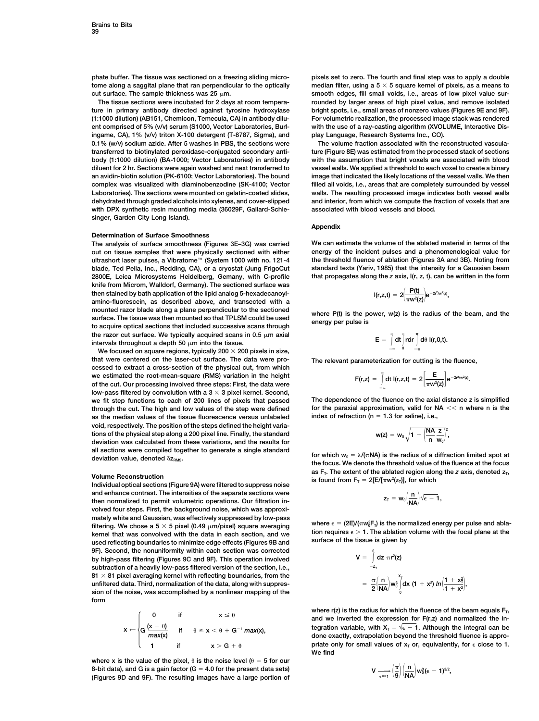**phate buffer. The tissue was sectioned on a freezing sliding micro- pixels set to zero. The fourth and final step was to apply a double tome along a saggital plane that ran perpendicular to the optically median filter, using a 5 5 square kernel of pixels, as a means to cut surface. The sample thickness was 25 m. smooth edges, fill small voids, i.e., areas of low pixel value sur-**

**(1:1000 dilution) (AB151, Chemicon, Temecula, CA) in antibody dilu- For volumetric realization, the processed image stack was rendered ent comprised of 5% (v/v) serum (S1000, Vector Laboratories, Burl- with the use of a ray-casting algorithm (XVOLUME, Interactive Disingame, CA), 1% (v/v) triton X-100 detergent (T-8787, Sigma), and play Language, Research Systems Inc., CO). 0.1% (w/v) sodium azide. After 5 washes in PBS, the sections were The volume fraction associated with the reconstructed vasculatransferred to biotinylated peroxidase-conjugated secondary anti- ture (Figure 8E) was estimated from the processed stack of sections body (1:1000 dilution) (BA-1000; Vector Laboratories) in antibody with the assumption that bright voxels are associated with blood diluent for 2 hr. Sections were again washed and next transferred to vessel walls. We applied a threshold to each voxel to create a binary an avidin-biotin solution (PK-6100; Vector Laboratories). The bound image that indicated the likely locations of the vessel walls. We then complex was visualized with diaminobenzodine (SK-4100; Vector filled all voids, i.e., areas that are completely surrounded by vessel Laboratories). The sections were mounted on gelatin-coated slides, walls. The resulting processed image indicates both vessel walls dehydrated through graded alcohols into xylenes, and cover-slipped and interior, from which we compute the fraction of voxels that are with DPX synthetic resin mounting media (36029F, Gallard-Schle- associated with blood vessels and blood. singer, Garden City Long Island).**

### **Determination of Surface Smoothness**

**out on tissue samples that were physically sectioned with either energy of the incident pulses and a phenomenological value for** ultrashort laser pulses, a Vibratome<sup>1M</sup> (System 1000 with no. 121-4 **blade, Ted Pella, Inc., Redding, CA), or a cryostat (Jung FrigoCut standard texts (Yariv, 1985) that the intensity for a Gaussian beam knife from Microm, Walldorf, Germany). The sectioned surface was then stained by bath application of the lipid analog 5-hexadecanoyl- l(r,z,t) <sup>2</sup>amino-fluorescein, as described above, and transected with a** mounted razor blade along a plane perpendicular to the sectioned<br>surface. The tissue was then mounted so that TPLSM could be used<br>to acquire optical sections that included successive scans through<br>energy per pulse is **the razor cut surface. We typically acquired scans in 0.5 m axial** intervals throughout a depth 50  $\mu$ m into the tissue.

**We focused on square regions, typically 200 200 pixels in size, that were centered on the laser-cut surface. The data were pro- The relevant parameterization for cutting is the fluence, cessed to extract a cross-section of the physical cut, from which** we estimated the root-mean-square (RMS) variation in the height We estimated the root-mean-square (HMS) variation in the neight  $F(r,z) = \int dt \, |(r,z,t) = 2\left|\frac{E}{\pi W^2(z)}\right] e^{-2t^2/w^2(z)}$ . **low-pass filtered by convolution with a 3 3 pixel kernel. Second, we fit step functions to each of 200 lines of pixels that passed The dependence of the fluence on the axial distance** *z* **is simplified** through the cut. The high and low values of the step were defined for the paraxial approximation, valid for NA  $<<$  n where n is the as the median values of the tissue fluorescence versus unlabeled index of refraction (n = **as the median values of the tissue fluorescence versus unlabeled index of refraction (n 1.3 for saline), i.e., void, respectively. The position of the steps defined the height variations of the physical step along a 200 pixel line. Finally, the standard deviation was calculated from these variations, and the results for all sections were compiled together to generate a single standard deviation value, denoted δz<sub>RMS</sub>.** 

Individual optical sections (Figure 9A) were filtered to suppress noise and enhance contrast. The intensities of the separate sections were  $z_T = w_0 \left(\frac{n}{NA}\right) \sqrt{\epsilon - 1}$ , **volved four steps. First, the background noise, which was approxi**mately white and Gaussian, was effectively suppressed by low-pass **filtering.** We chose a 5  $\times$  5 pixel (0.49  $\mu$ m/pixel) square averaging  $\frac{1}{2}$  and that was convolved with the data in each section, and we do requires  $\epsilon > 1$ . The ablation volume with the focal plane at the kernel that was convolved with the focal plane at the used reflection boundaries used reflecting boundaries to minimize edge effects (Figures 9B and **9F). Second, the nonuniformity within each section was corrected** by high-pass filtering (Figures 9C and 9F). This operation involved **subtraction of a heavily low-pass filtered version of the section, i.e., 81 81 pixel averaging kernel with reflecting boundaries, from the unfiltered data. Third, normalization of the data, along with suppres sion of the noise, was accomplished by a nonlinear mapping of the form**

$$
x \leftarrow \begin{cases} 0 & \text{if} & x \leq \theta \\ G\,\frac{(x-\theta)}{max(x)} & \text{if} & \theta \leq x < \theta + G^{-1} \,max(x), \\ 1 & \text{if} & x > G + \theta \end{cases}
$$

where x is the value of the pixel,  $\theta$  is the noise level ( $\theta$  = 5 for our **8-bit data), and G** is a gain factor (G = 4.0 for the present data sets)  $\begin{array}{ccc}\nV & \longrightarrow \\
\leftarrow & \leftarrow & \leftarrow \\
\text{(Figures 9D and 9F). The resulting images have a large portion of\n\end{array}$ 

**The tissue sections were incubated for 2 days at room tempera- rounded by larger areas of high pixel value, and remove isolated** bright spots, i.e., small areas of nonzero values (Figures 9E and 9F).

### **Appendix**

**The analysis of surface smoothness (Figures 3E–3G) was carried We can estimate the volume of the ablated material in terms of the** the threshold fluence of ablation (Figures 3A and 3B). Noting from that propagates along the *z* axis, I(r, *z*, t), can be written in the form

$$
I(r,z,t) = 2\left(\frac{P(t)}{\pi w^2(z)}\right) e^{-2r^2/w^2(z)},
$$

$$
E = \int_{-\infty}^{\infty} dt \int_{0}^{\pi} r dr \int_{-\pi}^{\pi} d\theta \, I(r, 0, t).
$$

$$
F(r,z) = \int_{-\infty}^{\infty} dt \, I(r,z,t) = 2 \left[ \frac{E}{\pi w^2(z)} \right] e^{-2r^2/w^2(z)}
$$

$$
w(z) = w_0 \sqrt{1 + \left(\frac{NA}{n} \frac{z}{w_0}\right)^2},
$$

for which  $w_0 = \lambda/(\pi NA)$  is the radius of a diffraction limited spot at the focus. We denote the threshold value of the fluence at the focus **as F<sub>T</sub>. The extent of the ablated region along the** *z* **axis, denoted**  $z_T$ **, <b>Volume Reconstruction is the ablated from FT** *is the state of the ablated region along the z axis, denoted z<sub>T</sub>***,** is found from  $F_T = 2[E/[\pi w^2(z_T)],$  for which

$$
z_T = w_0 \left(\frac{n}{NA}\right) \sqrt{\varepsilon - 1},
$$

where  $\epsilon = (2E)/(\pi w_0^2 F_T)$  is the normalized energy per pulse and abla-

$$
V = \int_{-2}^{0} dz \pi r^{2}(z)
$$
  
=  $\frac{\pi}{2} \left( \frac{n}{NA} \right) w_{0}^{x} \int_{0}^{x_{+}} dx (1 + x^{2}) ln \left( \frac{1 + x_{1}^{2}}{1 + x^{2}} \right)$ 

where  $r(z)$  is the radius for which the fluence of the beam equals  $F_T$ , **and we inverted the expression for F(r,z) and normalized the integration variable, with**  $X_T = \sqrt{\epsilon - 1}$ **. Although the integral can be done exactly, extrapolation beyond the threshold fluence is appropriate only for small values of**  $x<sub>T</sub>$  **or, equivalently, for**  $\epsilon$  **close to 1. We find**

$$
V \xrightarrow[\varepsilon \approx 1]{} \left(\frac{\pi}{9}\right) \left(\frac{n}{NA}\right) w_0^3 (\varepsilon - 1)^{3/2},
$$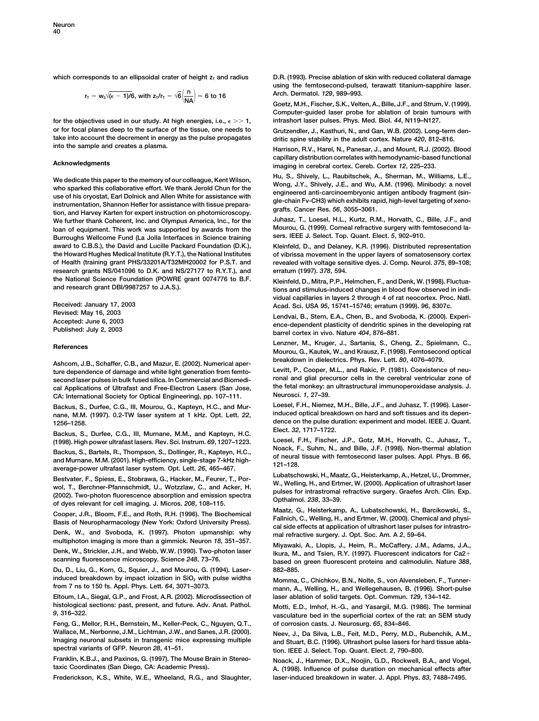which corresponds to an ellipsoidal crater of height  $z_T$  and radius **D.R. (1993). Precise ablation of skin with reduced collateral damage** 

$$
r_T = w_0 \sqrt{(\epsilon - 1)/6}
$$
, with  $z_T/r_T = \sqrt{6} \left(\frac{n}{NA}\right) \approx 6$  to 16

**for the objectives used in our study. At high energies, i.e., 1, intrashort laser pulses. Phys. Med. Biol.** *44***, N119–N127. or for focal planes deep to the surface of the tissue, one needs to Grutzendler, J., Kasthuri, N., and Gan, W.B. (2002). Long-term dentake into account the decrement in energy as the pulse propagates** dritic spine stability in the adult cortex. Nature 420, 812–816.<br> **Harrison B.V. Harel N. Panesar, L. and Mount, B.J. (2002).** 

We dedicate this paper to the memory of our colleague, Kent Wilson,<br>who sparked this collaborative effort. We thank Jerold Chun for the<br>use of his cryostat, Earl Dolnick and Allen White for assistance with<br>instrumentation, tion, and Harvey Karten for expert instruction on photomicroscopy.<br>We further thank Coherent, Inc. and Olympus America, Inc., for the Juhasz, T., Loesel, H.L., Kurtz, R.M., Horvath, C., Bille, J.F., and<br>Ioan of equipment. **Mourou, G. (1999). Corneal refractive surgery with femtosecond la- loan of equipment. This work was supported by awards from the Burroughs Wellcome Fund (La Jolla Interfaces in Science training award to C.B.S.), the David and Lucille Packard Foundation (D.K.), Kleinfeld, D., and Delaney, K.R. (1996). Distributed representation the Howard Hughes Medical Institute (R.Y.T.), the National Institutes of vibrissa movement in the upper layers of somatosensory cortex research grants NS/041096 to D.K. and NS/27177 to R.Y.T.), and erratum (1997).** *378***, 594.** the National Science Foundation (POWRE grant 0074776 to B.F.<br>and research grant DBI/9987257 to J.A.S.). Kleinfeld, D., Mitra, P.P., Helmchen, F., and Denk, W. (1998). Fluctua-<br>tions and stimulus-induced changes in blood fl

**breakdown in dielectrics. Phys. Rev. Lett.** *<sup>80</sup>***, 4076–4079. Ashcom, J.B., Schaffer, C.B., and Mazur, E. (2002). Numerical aper**ture dependence of damage and white light generation from femtocal Applications of Ultrafast and Free-Electron Lasers (San Jose, the fetal monkey: analysis. The fetal and Free-Electron Lasers (San Jose, the fetal monkey: analysis. T. 27–39. **CA: International Society for Optical Engineering), pp. 107-111.** 

 $n$ ane, M.M. (1997). 0.2-TW laser system at 1 kHz. Opt. Lett. 22,

Backus, S., Durfee, C.G., III, Murnane, M.M., and Kapteyn, H.C. **Elect.** 32, 1717–1722.<br>(1998) High nower ultrafast lasers Bey Sci. Instrum 69 1207–1223 Loesel, F.H., Fischer, J.P., Gotz, M.H., Horvath, C., Juhasz, T.,

Backus, S., Bartels, R., Thompson, S., Dollinger, R., Kapteyn, H.C.,<br>and Murnane, M.M. (2001). High-efficiency, single-stage 7-kHz high-<br>average-power ultrafast laser system. Opt. Lett. 26, 465–467.<br>Repturber F. Science F.

Bestvater, F., Spiess, E., Stobrawa, G., Hacker, M., Feurer, T., Por-<br>
wol, T., Berchner-Pfannschmidt, U., Wotzzlaw, C., and Acker, H.<br>
(2002). Two-photon fluorescence absorption and emission spectra<br>
of dyes relevant for

**Du, D., Liu, G., Korn, G., Squier, J., and Mourou, G. (1994). Laser- 882–885.** induced breakdown by impact ioization in SiO<sub>2</sub> with pulse widths Momma, C., Chichkov, B.N., Nolte, S., von Alvensleben, F., Tunner-<br>mann A. Welling H. and Wellegebausen, B. (1996). Short-pulse

**histological sections: past, present, and future. Adv. Anat. Pathol. Motti, E.D., Imhof, H.-G., and Yasargil, M.G. (1986). The terminal**

**Feng, G., Mellor, R.H., Bernstein, M., Keller-Peck, C., Nguyen, Q.T., of corrosion casts. J. Neurosurg.** *65***, 834–846. Wallace, M., Nerbonne, J.M., Lichtman, J.W., and Sanes, J.R. (2000). Neev, J., Da Silva, L.B., Feit, M.D., Perry, M.D., Rubenchik, A.M., Imaging neuronal subsets in transgenic mice expressing multiple and Stuart, B.C. (1996). Ultrashort pulse lasers for hard tissue abla-**

**Franklin, K.B.J., and Paxinos, G. (1997). The Mouse Brain in Stereo- Noack, J., Hammer, D.X., Noojin, G.D., Rockwell, B.A., and Vogel,**

**Frederickson, K.S., White, W.E., Wheeland, R.G., and Slaughter, laser-induced breakdown in water. J. Appl. Phys.** *83***, 7488–7495.**

**using the femtosecond-pulsed, terawatt titanium-sapphire laser.**  $Arch.$  Dermatol.  $129, 989-993.$ 

**Goetz, M.H., Fischer, S.K., Velten, A., Bille, J.F., and Strum, V. (1999). Computer-guided laser probe for ablation of brain tumours with**

**into the sample and creates a plasma. Harrison, R.V., Harel, N., Panesar, J., and Mount, R.J. (2002). Blood capillary distribution correlates with hemodynamic-based functional Acknowledgments imaging in cerebral cortex. Cereb. Cortex** *<sup>12</sup>***, 225–233.**

**of Health (training grant PHS/33201A/T32MH20002 for P.S.T. and revealed with voltage sensitive dyes. J. Comp. Neurol.** *375***, 89–108;**

**vidual capillaries in layers 2 through 4 of rat neocortex. Proc. Natl. Received: January 17, 2003 Acad. Sci. USA** *95***, 15741–15746; erratum (1999).** *96***, 8307c.**

Revised: May 16, 2003<br>Accepted: June 6, 2003<br>Published: July 2, 2003<br>Published: July 2, 2003<br>Published: July 2, 2003

**Lenzner, M., Kruger, J., Sartania, S., Cheng, Z., Spielmann, C., References Mourou, G., Kautek, W., and Krausz, F. (1998). Femtosecond optical**

second laser pulses in bulk fused silica. In Commercial and Biomedi-<br>
cal Applications of Ultrafast and Free-Electron Lasers (San Jose. **the fetal monkey:** an ultrastructural immunoperoxidase analysis. J.

**Backus, S., Durfee, C.G., III, Mourou, G., Kapteyn, H.C., and Mur- Loesel, F.H., Niemez, M.H., Bille, J.F., and Juhasz, T. (1996). Laserdence on the pulse duration: experiment and model. IEEE J. Quant. 1256–1258.**

**Loesel, F.H., Fischer, J.P., Gotz, M.H., Horvath, C., Juhasz, T., (1998). High power ultrafast lasers. Rev. Sci. Instrum.** *69***, 1207–1223.**

Cooper, J.R., Bloom, F.E., and Roth, R.H. (1996). The Biochemical<br>Basis of Neuropharmacology (New York: Oxford University Press).<br>Denk, W., and Svoboda, K. (1997). Photon upmanship: why<br>multiphoton imaging is more than a g

Miyawaki, A., Llopis, J., Heim, R., McCaffery, J.M., Adams, J.A.,<br>Denk, W., Strickler, J.H., and Webb, W.W. (1990). Two-photon laser Ikura, M., and Tsien, R.Y. (1997). Fluorescent indicators for Ca2+<br>scanning fluorescence

**from 7 ns to 150 fs. Appl. Phys. Lett.** *64***, 3071–3073. mann, A., Welling, H., and Wellegehausen, B. (1996). Short-pulse Eltoum, I.A., Siegal, G.P., and Frost, A.R. (2002). Microdissection of laser ablation of solid targets. Opt. Commun.** *129***, 134–142.**

*9***, 316–322. vasculature bed in the superficial cortex of the rat: an SEM study**

**spectral variants of GFP. Neuron** *28***, 41–51. tion. IEEE J. Select. Top. Quant. Elect.** *2***, 790–800.**

**taxic Coordinates (San Diego, CA: Academic Press). A. (1998). Influence of pulse duration on mechanical effects after**